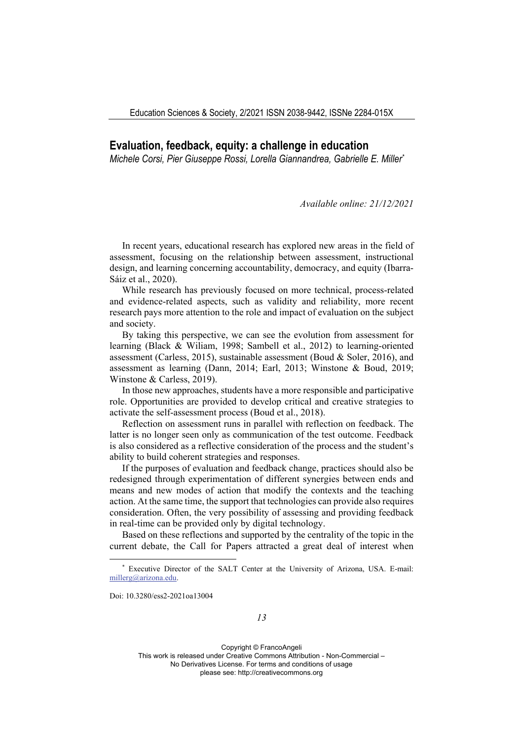## **Evaluation, feedback, equity: a challenge in education**

*Michele Corsi, Pier Giuseppe Rossi, Lorella Giannandrea, Gabrielle E. Miller\**

*Available online: 21/12/2021* 

In recent years, educational research has explored new areas in the field of assessment, focusing on the relationship between assessment, instructional design, and learning concerning accountability, democracy, and equity (Ibarra‐ Sáiz et al., 2020).

While research has previously focused on more technical, process-related and evidence‐related aspects, such as validity and reliability, more recent research pays more attention to the role and impact of evaluation on the subject and society.

By taking this perspective, we can see the evolution from assessment for learning (Black & Wiliam, 1998; Sambell et al., 2012) to learning‐oriented assessment (Carless, 2015), sustainable assessment (Boud & Soler, 2016), and assessment as learning (Dann, 2014; Earl, 2013; Winstone & Boud, 2019; Winstone & Carless, 2019).

In those new approaches, students have a more responsible and participative role. Opportunities are provided to develop critical and creative strategies to activate the self‐assessment process (Boud et al., 2018).

Reflection on assessment runs in parallel with reflection on feedback. The latter is no longer seen only as communication of the test outcome. Feedback is also considered as a reflective consideration of the process and the student's ability to build coherent strategies and responses.

If the purposes of evaluation and feedback change, practices should also be redesigned through experimentation of different synergies between ends and means and new modes of action that modify the contexts and the teaching action. At the same time, the support that technologies can provide also requires consideration. Often, the very possibility of assessing and providing feedback in real-time can be provided only by digital technology.

Based on these reflections and supported by the centrality of the topic in the current debate, the Call for Papers attracted a great deal of interest when

Doi: 10.3280/ess2-2021oa13004

<sup>\*</sup> Executive Director of the SALT Center at the University of Arizona, USA. E-mail: millerg@arizona.edu.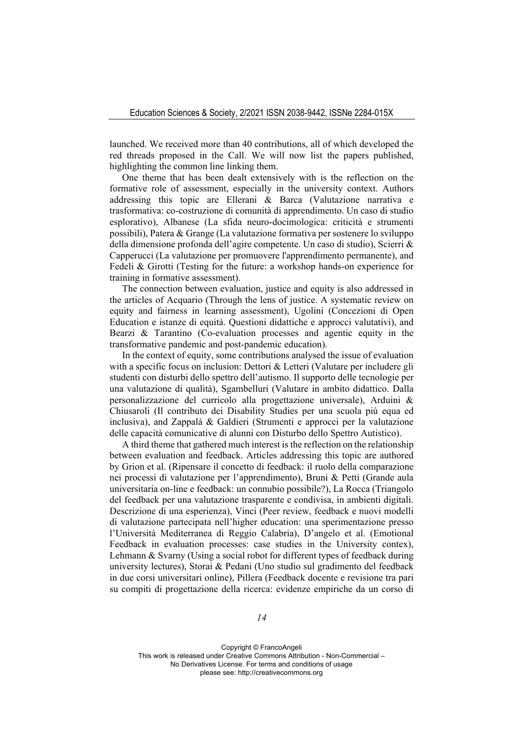launched. We received more than 40 contributions, all of which developed the red threads proposed in the Call. We will now list the papers published, highlighting the common line linking them.

One theme that has been dealt extensively with is the reflection on the formative role of assessment, especially in the university context. Authors addressing this topic are Ellerani & Barca (Valutazione narrativa e trasformativa: co-costruzione di comunità di apprendimento. Un caso di studio esplorativo), Albanese (La sfida neuro-docimologica: criticità e strumenti possibili), Patera & Grange (La valutazione formativa per sostenere lo sviluppo della dimensione profonda dell'agire competente. Un caso di studio), Scierri & Capperucci (La valutazione per promuovere l'apprendimento permanente), and Fedeli & Girotti (Testing for the future: a workshop hands-on experience for training in formative assessment).

The connection between evaluation, justice and equity is also addressed in the articles of Acquario (Through the lens of justice. A systematic review on equity and fairness in learning assessment), Ugolini (Concezioni di Open Education e istanze di equità. Questioni didattiche e approcci valutativi), and Bearzi & Tarantino (Co-evaluation processes and agentic equity in the transformative pandemic and post-pandemic education).

In the context of equity, some contributions analysed the issue of evaluation with a specific focus on inclusion: Dettori & Letteri (Valutare per includere gli studenti con disturbi dello spettro dell'autismo. Il supporto delle tecnologie per una valutazione di qualità), Sgambelluri (Valutare in ambito didattico. Dalla personalizzazione del curricolo alla progettazione universale), Arduini & Chiusaroli (Il contributo dei Disability Studies per una scuola più equa ed inclusiva), and Zappalà & Galdieri (Strumenti e approcci per la valutazione delle capacità comunicative di alunni con Disturbo dello Spettro Autistico).

A third theme that gathered much interest is the reflection on the relationship between evaluation and feedback. Articles addressing this topic are authored by Grion et al. (Ripensare il concetto di feedback: il ruolo della comparazione nei processi di valutazione per l'apprendimento), Bruni & Petti (Grande aula universitaria on-line e feedback: un connubio possibile?), La Rocca (Triangolo del feedback per una valutazione trasparente e condivisa, in ambienti digitali. Descrizione di una esperienza), Vinci (Peer review, feedback e nuovi modelli di valutazione partecipata nell'higher education: una sperimentazione presso l'Università Mediterranea di Reggio Calabria), D'angelo et al. (Emotional Feedback in evaluation processes: case studies in the University contex), Lehmann & Svarny (Using a social robot for different types of feedback during university lectures), Storai & Pedani (Uno studio sul gradimento del feedback in due corsi universitari online), Pillera (Feedback docente e revisione tra pari su compiti di progettazione della ricerca: evidenze empiriche da un corso di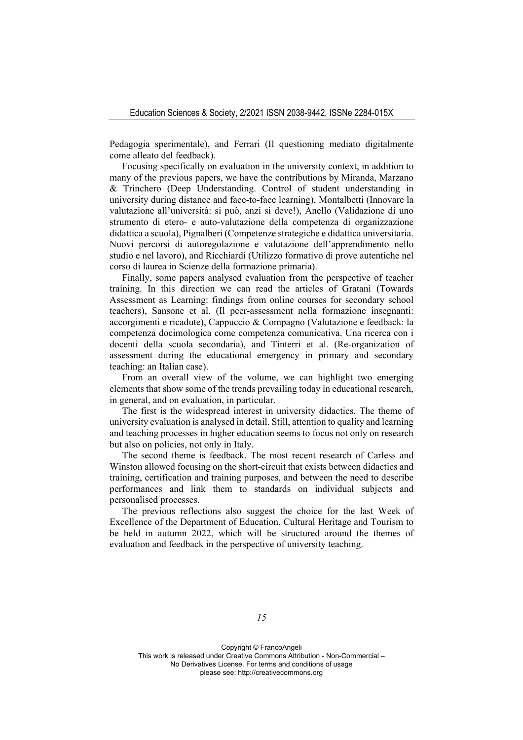Pedagogia sperimentale), and Ferrari (Il questioning mediato digitalmente come alleato del feedback).

Focusing specifically on evaluation in the university context, in addition to many of the previous papers, we have the contributions by Miranda, Marzano & Trinchero (Deep Understanding. Control of student understanding in university during distance and face-to-face learning), Montalbetti (Innovare la valutazione all'università: si può, anzi si deve!), Anello (Validazione di uno strumento di etero- e auto-valutazione della competenza di organizzazione didattica a scuola), Pignalberi (Competenze strategiche e didattica universitaria. Nuovi percorsi di autoregolazione e valutazione dell'apprendimento nello studio e nel lavoro), and Ricchiardi (Utilizzo formativo di prove autentiche nel corso di laurea in Scienze della formazione primaria).

Finally, some papers analysed evaluation from the perspective of teacher training. In this direction we can read the articles of Gratani (Towards Assessment as Learning: findings from online courses for secondary school teachers), Sansone et al. (Il peer-assessment nella formazione insegnanti: accorgimenti e ricadute), Cappuccio & Compagno (Valutazione e feedback: la competenza docimologica come competenza comunicativa. Una ricerca con i docenti della scuola secondaria), and Tinterri et al. (Re-organization of assessment during the educational emergency in primary and secondary teaching: an Italian case).

From an overall view of the volume, we can highlight two emerging elements that show some of the trends prevailing today in educational research, in general, and on evaluation, in particular.

The first is the widespread interest in university didactics. The theme of university evaluation is analysed in detail. Still, attention to quality and learning and teaching processes in higher education seems to focus not only on research but also on policies, not only in Italy.

The second theme is feedback. The most recent research of Carless and Winston allowed focusing on the short-circuit that exists between didactics and training, certification and training purposes, and between the need to describe performances and link them to standards on individual subjects and personalised processes.

The previous reflections also suggest the choice for the last Week of Excellence of the Department of Education, Cultural Heritage and Tourism to be held in autumn 2022, which will be structured around the themes of evaluation and feedback in the perspective of university teaching.